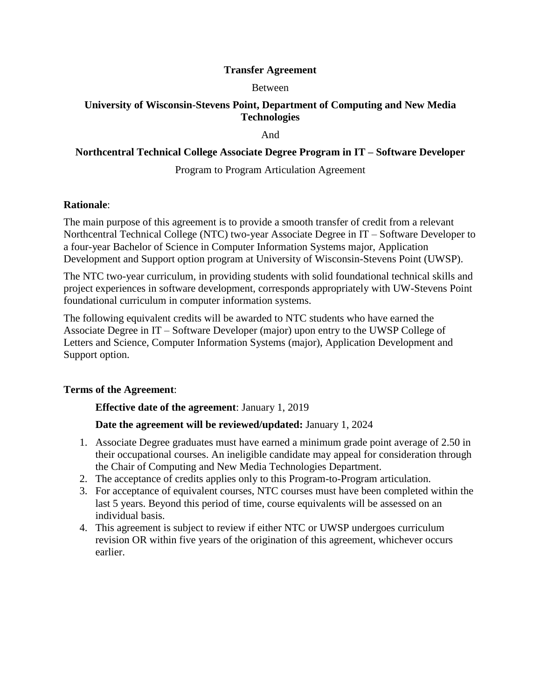### **Transfer Agreement**

#### Between

## **University of Wisconsin-Stevens Point, Department of Computing and New Media Technologies**

#### And

### **Northcentral Technical College Associate Degree Program in IT – Software Developer**

#### Program to Program Articulation Agreement

#### **Rationale**:

The main purpose of this agreement is to provide a smooth transfer of credit from a relevant Northcentral Technical College (NTC) two-year Associate Degree in IT – Software Developer to a four-year Bachelor of Science in Computer Information Systems major, Application Development and Support option program at University of Wisconsin-Stevens Point (UWSP).

The NTC two-year curriculum, in providing students with solid foundational technical skills and project experiences in software development, corresponds appropriately with UW-Stevens Point foundational curriculum in computer information systems.

The following equivalent credits will be awarded to NTC students who have earned the Associate Degree in IT – Software Developer (major) upon entry to the UWSP College of Letters and Science, Computer Information Systems (major), Application Development and Support option.

### **Terms of the Agreement**:

**Effective date of the agreement**: January 1, 2019

# **Date the agreement will be reviewed/updated:** January 1, 2024

- 1. Associate Degree graduates must have earned a minimum grade point average of 2.50 in their occupational courses. An ineligible candidate may appeal for consideration through the Chair of Computing and New Media Technologies Department.
- 2. The acceptance of credits applies only to this Program-to-Program articulation.
- 3. For acceptance of equivalent courses, NTC courses must have been completed within the last 5 years. Beyond this period of time, course equivalents will be assessed on an individual basis.
- 4. This agreement is subject to review if either NTC or UWSP undergoes curriculum revision OR within five years of the origination of this agreement, whichever occurs earlier.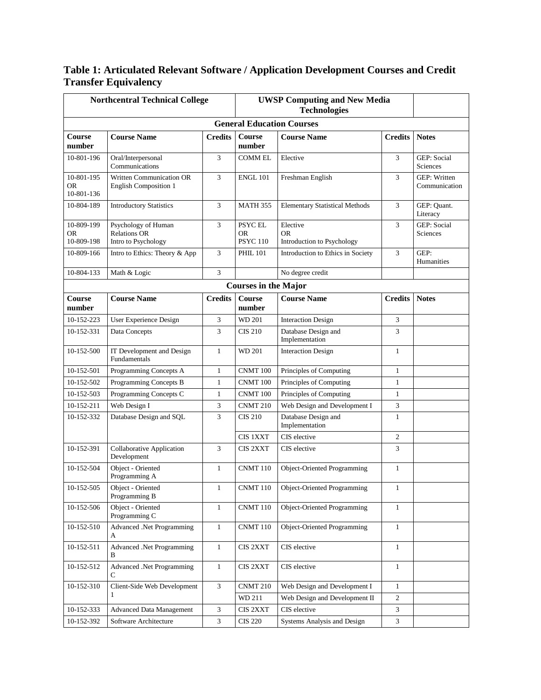## **Table 1: Articulated Relevant Software / Application Development Courses and Credit Transfer Equivalency**

| <b>Northcentral Technical College</b> |                                                                   |                | <b>UWSP Computing and New Media</b><br><b>Technologies</b> |                                                     |                |                                |  |
|---------------------------------------|-------------------------------------------------------------------|----------------|------------------------------------------------------------|-----------------------------------------------------|----------------|--------------------------------|--|
|                                       |                                                                   |                |                                                            | <b>General Education Courses</b>                    |                |                                |  |
| Course<br>number                      | <b>Course Name</b>                                                | <b>Credits</b> | Course<br>number                                           | <b>Course Name</b>                                  | <b>Credits</b> | <b>Notes</b>                   |  |
| 10-801-196                            | Oral/Interpersonal<br>Communications                              | 3              | <b>COMMEL</b>                                              | Elective                                            | 3              | <b>GEP:</b> Social<br>Sciences |  |
| 10-801-195<br>OR<br>10-801-136        | Written Communication OR<br><b>English Composition 1</b>          | 3              | <b>ENGL 101</b>                                            | Freshman English                                    | 3              | GEP: Written<br>Communication  |  |
| 10-804-189                            | <b>Introductory Statistics</b>                                    | 3              | <b>MATH 355</b>                                            | <b>Elementary Statistical Methods</b>               | 3              | GEP: Quant.<br>Literacy        |  |
| 10-809-199<br>OR<br>10-809-198        | Psychology of Human<br><b>Relations OR</b><br>Intro to Psychology | 3              | PSYC EL<br><b>OR</b><br><b>PSYC 110</b>                    | Elective<br><b>OR</b><br>Introduction to Psychology | 3              | <b>GEP:</b> Social<br>Sciences |  |
| 10-809-166                            | Intro to Ethics: Theory & App                                     | 3              | <b>PHIL 101</b>                                            | Introduction to Ethics in Society                   | 3              | GEP:<br>Humanities             |  |
| 10-804-133                            | Math & Logic                                                      | 3              |                                                            | No degree credit                                    |                |                                |  |
| <b>Courses in the Major</b>           |                                                                   |                |                                                            |                                                     |                |                                |  |
| Course<br>number                      | <b>Course Name</b>                                                | <b>Credits</b> | Course<br>number                                           | <b>Course Name</b>                                  | <b>Credits</b> | <b>Notes</b>                   |  |
| 10-152-223                            | User Experience Design                                            | 3              | WD 201                                                     | <b>Interaction Design</b>                           | 3              |                                |  |
| 10-152-331                            | Data Concepts                                                     | 3              | <b>CIS 210</b>                                             | Database Design and<br>Implementation               | 3              |                                |  |
| 10-152-500                            | IT Development and Design<br>Fundamentals                         | $\mathbf{1}$   | WD 201                                                     | <b>Interaction Design</b>                           | 1              |                                |  |
| 10-152-501                            | Programming Concepts A                                            | $\mathbf{1}$   | CNMT 100                                                   | Principles of Computing                             | $\mathbf{1}$   |                                |  |
| 10-152-502                            | Programming Concepts B                                            | $\mathbf{1}$   | CNMT 100                                                   | Principles of Computing                             | $\mathbf{1}$   |                                |  |
| 10-152-503                            | Programming Concepts C                                            | $\mathbf{1}$   | CNMT 100                                                   | Principles of Computing                             | $\mathbf{1}$   |                                |  |
| 10-152-211                            | Web Design I                                                      | 3              | <b>CNMT 210</b>                                            | Web Design and Development I                        | 3              |                                |  |
| 10-152-332                            | Database Design and SQL                                           | 3              | <b>CIS 210</b>                                             | Database Design and<br>Implementation               | $\mathbf{1}$   |                                |  |
|                                       |                                                                   |                | CIS 1XXT                                                   | CIS elective                                        | $\mathbf{2}$   |                                |  |
| 10-152-391                            | Collaborative Application<br>Development                          | 3              | CIS <sub>2</sub> XXT                                       | CIS elective                                        | 3              |                                |  |
| 10-152-504                            | Object - Oriented<br>Programming A                                | $\mathbf{1}$   | CNMT <sub>110</sub>                                        | Object-Oriented Programming                         | $\mathbf{1}$   |                                |  |
| 10-152-505                            | Object - Oriented<br>Programming B                                | 1              | <b>CNMT 110</b>                                            | Object-Oriented Programming                         | $\mathbf{1}$   |                                |  |
| 10-152-506                            | Object - Oriented<br>Programming C                                | $\mathbf{1}$   | <b>CNMT 110</b>                                            | Object-Oriented Programming                         | 1              |                                |  |
| 10-152-510                            | Advanced .Net Programming<br>A                                    | $\mathbf{1}$   | CNMT 110                                                   | Object-Oriented Programming                         | $\mathbf{1}$   |                                |  |
| 10-152-511                            | Advanced .Net Programming<br>В                                    | $\mathbf{1}$   | CIS 2XXT                                                   | CIS elective                                        | $\mathbf{1}$   |                                |  |
| 10-152-512                            | Advanced .Net Programming<br>C                                    | $\mathbf{1}$   | CIS 2XXT                                                   | CIS elective                                        | $\mathbf{1}$   |                                |  |
| 10-152-310                            | Client-Side Web Development                                       | 3              | CNMT 210                                                   | Web Design and Development I                        | 1              |                                |  |
|                                       | 1                                                                 |                | WD 211                                                     | Web Design and Development II                       | $\sqrt{2}$     |                                |  |
| 10-152-333                            | <b>Advanced Data Management</b>                                   | 3              | CIS 2XXT                                                   | CIS elective                                        | $\mathfrak{Z}$ |                                |  |
| 10-152-392                            | Software Architecture                                             | $\mathfrak{Z}$ | <b>CIS 220</b>                                             | Systems Analysis and Design                         | $\mathfrak{Z}$ |                                |  |